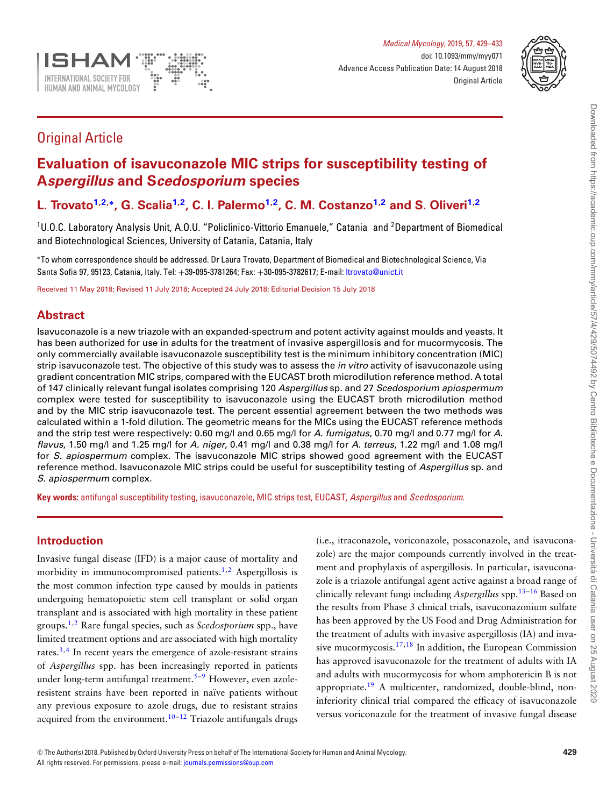

<span id="page-0-1"></span>*Medical Mycology*, 2019, 57, 429–433 doi: 10.1093/mmy/myy071 Advance Access Publication Date: 14 August 2018 **Original Article** 



## Original Article

# **Evaluation of isavuconazole MIC strips for susceptibility testing of A***spergillus* **and S***cedosporium* **species**

**L. Trovato[1,](#page-0-0)[2,](#page-0-1)[∗](#page-0-2), G. Scalia[1,](#page-0-0)[2,](#page-0-1) C. I. Palerm[o1,](#page-0-0)[2,](#page-0-1) C. M. Costanz[o1,](#page-0-0)[2](#page-0-1) and S. Oliver[i1,](#page-0-0)[2](#page-0-1)**

<span id="page-0-0"></span><sup>1</sup>U.O.C. Laboratory Analysis Unit, A.O.U. "Policlinico-Vittorio Emanuele," Catania and <sup>2</sup>Department of Biomedical and Biotechnological Sciences, University of Catania, Catania, Italy

<span id="page-0-2"></span><sup>∗</sup>To whom correspondence should be addressed. Dr Laura Trovato, Department of Biomedical and Biotechnological Science, Via Santa Sofia 97, 95123, Catania, Italy. Tel: +39-095-3781264; Fax: +30-095-3782617; E-mail: [ltrovato@unict.it](mailto:ltrovato@unict.it)

Received 11 May 2018; Revised 11 July 2018; Accepted 24 July 2018; Editorial Decision 15 July 2018

## **Abstract**

Isavuconazole is a new triazole with an expanded-spectrum and potent activity against moulds and yeasts. It has been authorized for use in adults for the treatment of invasive aspergillosis and for mucormycosis. The only commercially available isavuconazole susceptibility test is the minimum inhibitory concentration (MIC) strip isavuconazole test. The objective of this study was to assess the *in vitro* activity of isavuconazole using gradient concentration MIC strips, compared with the EUCAST broth microdilution reference method. A total of 147 clinically relevant fungal isolates comprising 120 *Aspergillus* sp. and 27 *Scedosporium apiospermum* complex were tested for susceptibility to isavuconazole using the EUCAST broth microdilution method and by the MIC strip isavuconazole test. The percent essential agreement between the two methods was calculated within a 1-fold dilution. The geometric means for the MICs using the EUCAST reference methods and the strip test were respectively: 0.60 mg/l and 0.65 mg/l for *A. fumigatus*, 0.70 mg/l and 0.77 mg/l for *A. flavus*, 1.50 mg/l and 1.25 mg/l for *A. niger*, 0.41 mg/l and 0.38 mg/l for *A. terreus*, 1.22 mg/l and 1.08 mg/l for *S. apiospermum* complex. The isavuconazole MIC strips showed good agreement with the EUCAST reference method. Isavuconazole MIC strips could be useful for susceptibility testing of *Aspergillus* sp. and *S. apiospermum* complex.

**Key words:** antifungal susceptibility testing, isavuconazole, MIC strips test, EUCAST, *Aspergillus* and *Scedosporium*.

## **Introduction**

Invasive fungal disease (IFD) is a major cause of mortality and morbidity in immunocompromised patients[.1,](#page-3-0)[2](#page-3-1) Aspergillosis is the most common infection type caused by moulds in patients undergoing hematopoietic stem cell transplant or solid organ transplant and is associated with high mortality in these patient groups.[1,](#page-3-0)[2](#page-3-1) Rare fungal species, such as *Scedosporium* spp., have limited treatment options and are associated with high mortality rates.[3,](#page-3-2)[4](#page-3-3) In recent years the emergence of azole-resistant strains of *Aspergillus* spp. has been increasingly reported in patients under long-term antifungal treatment.<sup>[5–](#page-3-4)[9](#page-3-5)</sup> However, even azoleresistent strains have been reported in naïve patients without any previous exposure to azole drugs, due to resistant strains acquired from the environment.<sup>[10](#page-3-6)[–12](#page-4-0)</sup> Triazole antifungals drugs

(i.e., itraconazole, voriconazole, posaconazole, and isavuconazole) are the major compounds currently involved in the treatment and prophylaxis of aspergillosis. In particular, isavuconazole is a triazole antifungal agent active against a broad range of clinically relevant fungi including *Aspergillus* spp[.13–](#page-4-1)[16](#page-4-2) Based on the results from Phase 3 clinical trials, isavuconazonium sulfate has been approved by the US Food and Drug Administration for the treatment of adults with invasive aspergillosis (IA) and inva-sive mucormycosis.<sup>17,[18](#page-4-4)</sup> In addition, the European Commission has approved isavuconazole for the treatment of adults with IA and adults with mucormycosis for whom amphotericin B is not appropriate.[19](#page-4-5) A multicenter, randomized, double-blind, noninferiority clinical trial compared the efficacy of isavuconazole versus voriconazole for the treatment of invasive fungal disease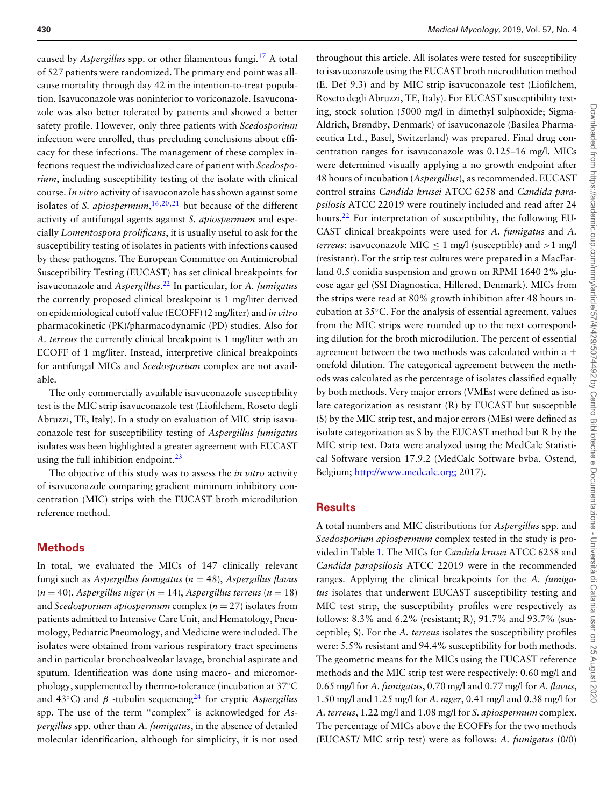caused by *Aspergillus* spp. or other filamentous fungi.<sup>[17](#page-4-3)</sup> A total of 527 patients were randomized. The primary end point was allcause mortality through day 42 in the intention-to-treat population. Isavuconazole was noninferior to voriconazole. Isavuconazole was also better tolerated by patients and showed a better safety profile. However, only three patients with *Scedosporium* infection were enrolled, thus precluding conclusions about efficacy for these infections. The management of these complex infections request the individualized care of patient with *Scedosporium*, including susceptibility testing of the isolate with clinical course. *In vitro* activity of isavuconazole has shown against some isolates of *S. apiospermum*, [16,](#page-4-2)[20,](#page-4-6)[21](#page-4-7) but because of the different activity of antifungal agents against *S. apiospermum* and especially *Lomentospora prolificans*, it is usually useful to ask for the susceptibility testing of isolates in patients with infections caused by these pathogens. The European Committee on Antimicrobial Susceptibility Testing (EUCAST) has set clinical breakpoints for isavuconazole and *Aspergillus*. [22](#page-4-8) In particular, for *A. fumigatus* the currently proposed clinical breakpoint is 1 mg/liter derived on epidemiological cutoff value (ECOFF) (2 mg/liter) and *in vitro* pharmacokinetic (PK)/pharmacodynamic (PD) studies. Also for *A. terreus* the currently clinical breakpoint is 1 mg/liter with an ECOFF of 1 mg/liter. Instead, interpretive clinical breakpoints for antifungal MICs and *Scedosporium* complex are not available.

The only commercially available isavuconazole susceptibility test is the MIC strip isavuconazole test (Liofilchem, Roseto degli Abruzzi, TE, Italy). In a study on evaluation of MIC strip isavuconazole test for susceptibility testing of *Aspergillus fumigatus* isolates was been highlighted a greater agreement with EUCAST using the full inhibition endpoint. $^{23}$  $^{23}$  $^{23}$ 

The objective of this study was to assess the *in vitro* activity of isavuconazole comparing gradient minimum inhibitory concentration (MIC) strips with the EUCAST broth microdilution reference method.

#### **Methods**

In total, we evaluated the MICs of 147 clinically relevant fungi such as *Aspergillus fumigatus* (*n* = 48), *Aspergillus flavus*  $(n = 40)$ , *Aspergillus niger*  $(n = 14)$ , *Aspergillus terreus*  $(n = 18)$ and *Scedosporium apiospermum* complex (*n* = 27) isolates from patients admitted to Intensive Care Unit, and Hematology, Pneumology, Pediatric Pneumology, and Medicine were included. The isolates were obtained from various respiratory tract specimens and in particular bronchoalveolar lavage, bronchial aspirate and sputum. Identification was done using macro- and micromorphology, supplemented by thermo-tolerance (incubation at 37◦C and  $43°C$ ) and  $\beta$  -tubulin sequencing<sup>24</sup> for cryptic *Aspergillus* spp. The use of the term "complex" is acknowledged for *Aspergillus* spp. other than *A. fumigatus*, in the absence of detailed molecular identification, although for simplicity, it is not used

throughout this article. All isolates were tested for susceptibility to isavuconazole using the EUCAST broth microdilution method (E. Def 9.3) and by MIC strip isavuconazole test (Liofilchem, Roseto degli Abruzzi, TE, Italy). For EUCAST susceptibility testing, stock solution (5000 mg/l in dimethyl sulphoxide; Sigma-Aldrich, Brøndby, Denmark) of isavuconazole (Basilea Pharmaceutica Ltd., Basel, Switzerland) was prepared. Final drug concentration ranges for isavuconazole was 0.125–16 mg/l. MICs were determined visually applying a no growth endpoint after 48 hours of incubation (*Aspergillus*), as recommended. EUCAST control strains *Candida krusei* ATCC 6258 and *Candida parapsilosis* ATCC 22019 were routinely included and read after 24 hours.<sup>[22](#page-4-8)</sup> For interpretation of susceptibility, the following EU-CAST clinical breakpoints were used for *A. fumigatus* and *A. terreus*: isavuconazole MIC  $\leq 1$  mg/l (susceptible) and  $>1$  mg/l (resistant). For the strip test cultures were prepared in a MacFarland 0.5 conidia suspension and grown on RPMI 1640 2% glucose agar gel (SSI Diagnostica, Hillerød, Denmark). MICs from the strips were read at 80% growth inhibition after 48 hours incubation at 35◦C. For the analysis of essential agreement, values from the MIC strips were rounded up to the next corresponding dilution for the broth microdilution. The percent of essential agreement between the two methods was calculated within a  $\pm$ onefold dilution. The categorical agreement between the methods was calculated as the percentage of isolates classified equally by both methods. Very major errors (VMEs) were defined as isolate categorization as resistant (R) by EUCAST but susceptible (S) by the MIC strip test, and major errors (MEs) were defined as isolate categorization as S by the EUCAST method but R by the MIC strip test. Data were analyzed using the MedCalc Statistical Software version 17.9.2 (MedCalc Software bvba, Ostend, Belgium; <http://www.medcalc.org;> 2017).

#### **Results**

A total numbers and MIC distributions for *Aspergillus* spp. and *Scedosporium apiospermum* complex tested in the study is provided in Table [1.](#page-2-0) The MICs for *Candida krusei* ATCC 6258 and *Candida parapsilosis* ATCC 22019 were in the recommended ranges. Applying the clinical breakpoints for the *A. fumigatus* isolates that underwent EUCAST susceptibility testing and MIC test strip, the susceptibility profiles were respectively as follows: 8.3% and 6.2% (resistant; R), 91.7% and 93.7% (susceptible; S). For the *A. terreus* isolates the susceptibility profiles were: 5.5% resistant and 94.4% susceptibility for both methods. The geometric means for the MICs using the EUCAST reference methods and the MIC strip test were respectively: 0.60 mg/l and 0.65 mg/l for *A. fumigatus*, 0.70 mg/l and 0.77 mg/l for *A. flavus*, 1.50 mg/l and 1.25 mg/l for *A. niger*, 0.41 mg/l and 0.38 mg/l for *A. terreus*, 1.22 mg/l and 1.08 mg/l for *S. apiospermum* complex. The percentage of MICs above the ECOFFs for the two methods (EUCAST/ MIC strip test) were as follows: *A. fumigatus* (0/0)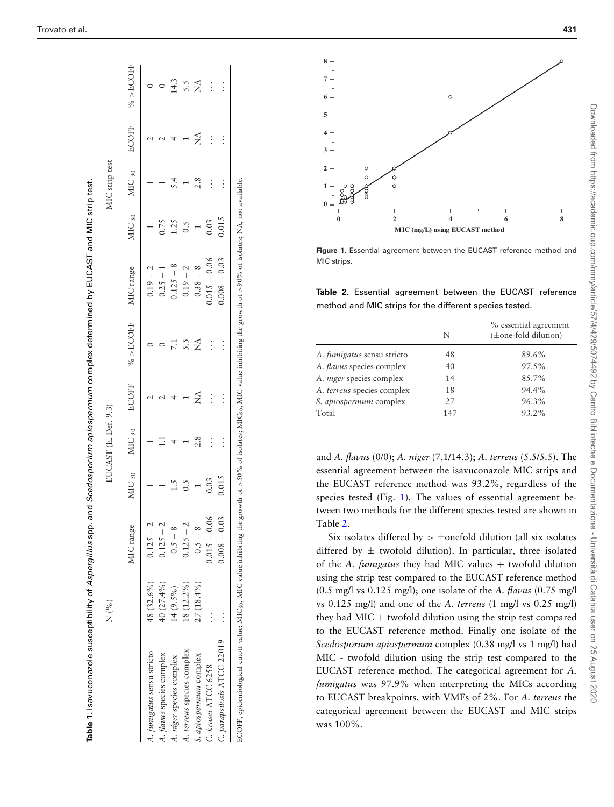|                |                                                                     | EUCAST (E. Def. 9.3) |          |          |                |          | MIC strip test    |          |           |
|----------------|---------------------------------------------------------------------|----------------------|----------|----------|----------------|----------|-------------------|----------|-----------|
| MIC range      | MIC $50$                                                            | MIC <sub>90</sub>    | ECOFF    | % >ECOFF | MIC range      | MIC $50$ | MIC <sub>90</sub> | ECOFF    | % > ECOFF |
| $0.125 - 2$    |                                                                     |                      |          |          | $0.19 - 2$     |          |                   |          |           |
| $0.125 - 2$    |                                                                     |                      |          |          | $0.25 - 1$     | 0.75     |                   |          |           |
| $0.5 - 8$      | $\frac{5}{1}$                                                       |                      |          | 7.1      | $0.125 - 8$    | 1.25     | 5.4               |          | 14.3      |
| $0.125 - 2$    | 0.5                                                                 |                      |          | 5.5      | $0.19 - 2$     | 0.5      |                   |          | 5.5       |
| $0.5 - 8$      |                                                                     | 2.8                  | ź        | ź        | $0.38 - 8$     |          | 2.8               | ≸        | Ź         |
| $0.015 - 0.06$ | 0.03                                                                | $\vdots$             | $\vdots$ | $\vdots$ | $0.015 - 0.06$ | 0.03     | $\vdots$          | $\vdots$ | $\vdots$  |
|                |                                                                     |                      |          |          |                |          |                   |          |           |
|                | 48 (32.6%)<br>40 (27.4%)<br>27 (18.4%)<br>$18(12.2\%)$<br>14 (9.5%) |                      |          |          |                |          |                   |          |           |

<span id="page-2-1"></span>

**Figure 1.** Essential agreement between the EUCAST reference method and MIC strips.

<span id="page-2-2"></span>**Table 2.** Essential agreement between the EUCAST reference method and MIC strips for the different species tested.

|                                   | N   | % essential agreement<br>$(\pm$ one-fold dilution) |
|-----------------------------------|-----|----------------------------------------------------|
| A. <i>fumigatus</i> sensu stricto | 48  | 89.6%                                              |
| A. flavus species complex         | 40  | 97.5%                                              |
| A. niger species complex          | 14  | 85.7%                                              |
| A. terreus species complex        | 18  | 94.4%                                              |
| S. apiospermum complex            | 27  | 96.3%                                              |
| Total                             | 147 | 93.2%                                              |

and *A. flavus* (0/0); *A. niger* (7.1/14.3); *A. terreus* (5.5/5.5). The essential agreement between the isavuconazole MIC strips and the EUCAST reference method was 93.2%, regardless of the species tested (Fig. [1\)](#page-2-1). The values of essential agreement between two methods for the different species tested are shown in Table [2](#page-2-2) .

<span id="page-2-0"></span>Six isolates differed by  $> \pm$ onefold dilution (all six isolates differed by ± twofold dilution). In particular, three isolated of the *A. fumigatus* they had MIC values + twofold dilution using the strip test compared to the EUCAST reference method (0.5 mg/l vs 0.125 mg/l); one isolate of the *A. flavus* (0.75 mg/l vs 0.125 mg/l) and one of the *A. terreus* (1 mg/l vs 0.25 mg/l) they had MIC + twofold dilution using the strip test compared to the EUCAST reference method. Finally one isolate of the *Scedosporium apiospermum* complex (0.38 mg/l vs 1 mg/l) had MIC - twofold dilution using the strip test compared to the EUCAST reference method. The categorical agreement for *A. fumigatus* was 97.9% when interpreting the MICs according to EUCAST breakpoints, with VMEs of 2%. For *A. terreus* the categorical agreement between the EUCAST and MIC strips was 100%.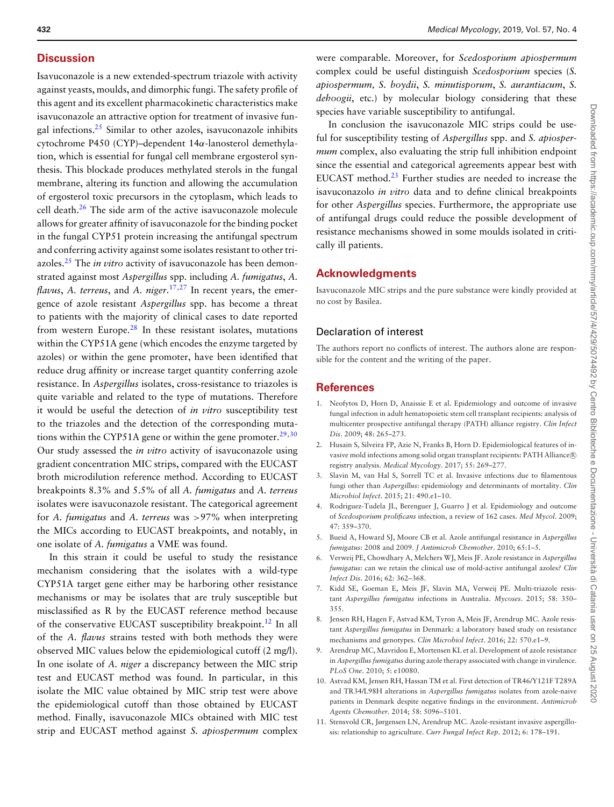## **Discussion**

Isavuconazole is a new extended-spectrum triazole with activity against yeasts, moulds, and dimorphic fungi. The safety profile of this agent and its excellent pharmacokinetic characteristics make isavuconazole an attractive option for treatment of invasive fun-gal infections.<sup>[25](#page-4-11)</sup> Similar to other azoles, is avuconazole inhibits cytochrome P450 (CYP)–dependent 14α-lanosterol demethylation, which is essential for fungal cell membrane ergosterol synthesis. This blockade produces methylated sterols in the fungal membrane, altering its function and allowing the accumulation of ergosterol toxic precursors in the cytoplasm, which leads to cell death.[26](#page-4-12) The side arm of the active isavuconazole molecule allows for greater affinity of isavuconazole for the binding pocket in the fungal CYP51 protein increasing the antifungal spectrum and conferring activity against some isolates resistant to other triazoles.[25](#page-4-11) The *in vitro* activity of isavuconazole has been demonstrated against most *Aspergillus* spp. including *A. fumigatus*, *A. flavus*, *A. terreus*, and *A. niger*. [17,](#page-4-3)[27](#page-4-13) In recent years, the emergence of azole resistant *Aspergillus* spp. has become a threat to patients with the majority of clinical cases to date reported from western Europe. $28$  In these resistant isolates, mutations within the CYP51A gene (which encodes the enzyme targeted by azoles) or within the gene promoter, have been identified that reduce drug affinity or increase target quantity conferring azole resistance. In *Aspergillus* isolates, cross-resistance to triazoles is quite variable and related to the type of mutations. Therefore it would be useful the detection of *in vitro* susceptibility test to the triazoles and the detection of the corresponding muta-tions within the CYP51A gene or within the gene promoter.<sup>[29,](#page-4-15)[30](#page-4-16)</sup> Our study assessed the *in vitro* activity of isavuconazole using gradient concentration MIC strips, compared with the EUCAST broth microdilution reference method. According to EUCAST breakpoints 8.3% and 5.5% of all *A. fumigatus* and *A. terreus* isolates were isavuconazole resistant. The categorical agreement for *A. fumigatus* and *A. terreus* was >97% when interpreting the MICs according to EUCAST breakpoints, and notably, in one isolate of *A. fumigatus* a VME was found.

In this strain it could be useful to study the resistance mechanism considering that the isolates with a wild-type CYP51A target gene either may be harboring other resistance mechanisms or may be isolates that are truly susceptible but misclassified as R by the EUCAST reference method because of the conservative EUCAST susceptibility breakpoint.<sup>[12](#page-4-0)</sup> In all of the *A. flavus* strains tested with both methods they were observed MIC values below the epidemiological cutoff (2 mg/l). In one isolate of *A. niger* a discrepancy between the MIC strip test and EUCAST method was found. In particular, in this isolate the MIC value obtained by MIC strip test were above the epidemiological cutoff than those obtained by EUCAST method. Finally, isavuconazole MICs obtained with MIC test strip and EUCAST method against *S. apiospermum* complex

were comparable. Moreover, for *Scedosporium apiospermum* complex could be useful distinguish *Scedosporium* species (*S. apiospermum, S. boydii*, *S. minutisporum*, *S. aurantiacum*, *S. dehoogii*, etc.) by molecular biology considering that these species have variable susceptibility to antifungal.

In conclusion the isavuconazole MIC strips could be useful for susceptibility testing of *Aspergillus* spp. and *S. apiospermum* complex, also evaluating the strip full inhibition endpoint since the essential and categorical agreements appear best with EUCAST method.[23](#page-4-9) Further studies are needed to increase the isavuconazolo *in vitro* data and to define clinical breakpoints for other *Aspergillus* species. Furthermore, the appropriate use of antifungal drugs could reduce the possible development of resistance mechanisms showed in some moulds isolated in critically ill patients.

### **Acknowledgments**

Isavuconazole MIC strips and the pure substance were kindly provided at no cost by Basilea.

#### Declaration of interest

The authors report no conflicts of interest. The authors alone are responsible for the content and the writing of the paper.

#### **References**

- <span id="page-3-0"></span>1. Neofytos D, Horn D, Anaissie E et al. Epidemiology and outcome of invasive fungal infection in adult hematopoietic stem cell transplant recipients: analysis of multicenter prospective antifungal therapy (PATH) alliance registry. *Clin Infect Dis*. 2009; 48: 265–273.
- <span id="page-3-1"></span>2. Husain S, Silveira FP, Azie N, Franks B, Horn D. Epidemiological features of invasive mold infections among solid organ transplant recipients:  $\text{PATH}$  Alliance $\textcircledR}$ registry analysis. *Medical Mycology*. 2017; 55: 269–277.
- <span id="page-3-2"></span>3. Slavin M, van Hal S, Sorrell TC et al. Invasive infections due to filamentous fungi other than *Aspergillus*: epidemiology and determinants of mortality. *Clin Microbiol Infect*. 2015; 21: 490.e1–10.
- <span id="page-3-3"></span>4. Rodriguez-Tudela JL, Berenguer J, Guarro J et al. Epidemiology and outcome of *Scedosporium prolificans* infection, a review of 162 cases. *Med Mycol*. 2009; 47: 359–370.
- <span id="page-3-4"></span>5. Bueid A, Howard SJ, Moore CB et al. Azole antifungal resistance in *Aspergillus fumigatus*: 2008 and 2009. *J Antimicrob Chemother*. 2010; 65:1–5.
- 6. Verweij PE, Chowdhary A, Melchers WJ, Meis JF. Azole resistance in *Aspergillus fumigatus*: can we retain the clinical use of mold-active antifungal azoles*? Clin Infect Dis*. 2016; 62: 362–368.
- 7. Kidd SE, Goeman E, Meis JF, Slavin MA, Verweij PE. Multi-triazole resistant *Aspergillus fumigatus* infections in Australia. *Mycoses*. 2015; 58: 350– 355.
- 8. Jensen RH, Hagen F, Astvad KM, Tyron A, Meis JF, Arendrup MC. Azole resistant *Aspergillus fumigatus* in Denmark: a laboratory based study on resistance mechanisms and genotypes. *Clin Microbiol Infect*. 2016; 22: 570.e1–9.
- <span id="page-3-5"></span>9. Arendrup MC, Mavridou E, Mortensen KL et al. Development of azole resistance in *Aspergillus fumigatus* during azole therapy associated with change in virulence. *PLoS One*. 2010; 5: e10080.
- <span id="page-3-6"></span>10. Astvad KM, Jensen RH, Hassan TM et al. First detection of TR46/Y121F T289A and TR34/L98H alterations in *Aspergillus fumigatus* isolates from azole-naive patients in Denmark despite negative findings in the environment. *Antimicrob Agents Chemother*. 2014; 58: 5096–5101.
- 11. Stensvold CR, Jørgensen LN, Arendrup MC. Azole-resistant invasive aspergillosis: relationship to agriculture. *Curr Fungal Infect Rep*. 2012; 6: 178–191.